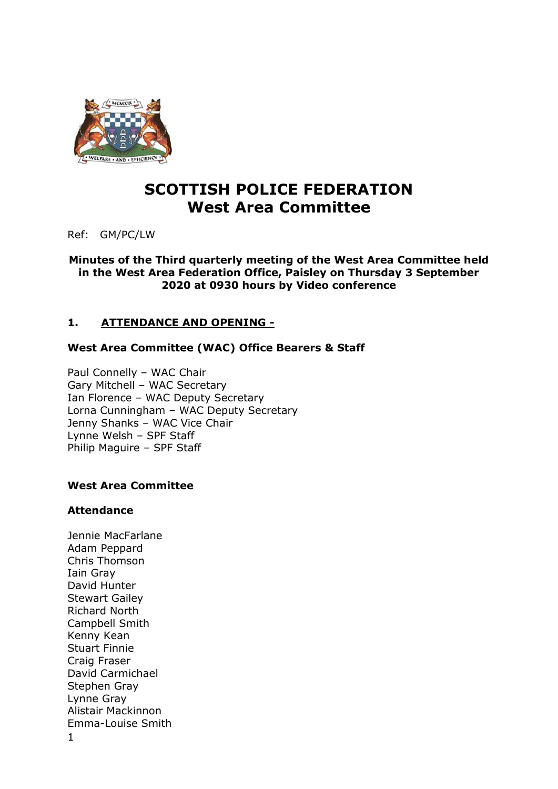

# **SCOTTISH POLICE FEDERATION West Area Committee**

Ref: GM/PC/LW

**Minutes of the Third quarterly meeting of the West Area Committee held in the West Area Federation Office, Paisley on Thursday 3 September 2020 at 0930 hours by Video conference** 

# **1. ATTENDANCE AND OPENING -**

# **West Area Committee (WAC) Office Bearers & Staff**

Paul Connelly – WAC Chair Gary Mitchell – WAC Secretary Ian Florence – WAC Deputy Secretary Lorna Cunningham – WAC Deputy Secretary Jenny Shanks – WAC Vice Chair Lynne Welsh – SPF Staff Philip Maguire – SPF Staff

# **West Area Committee**

# **Attendance**

1 Jennie MacFarlane Adam Peppard Chris Thomson Iain Gray David Hunter Stewart Gailey Richard North Campbell Smith Kenny Kean Stuart Finnie Craig Fraser David Carmichael Stephen Gray Lynne Gray Alistair Mackinnon Emma-Louise Smith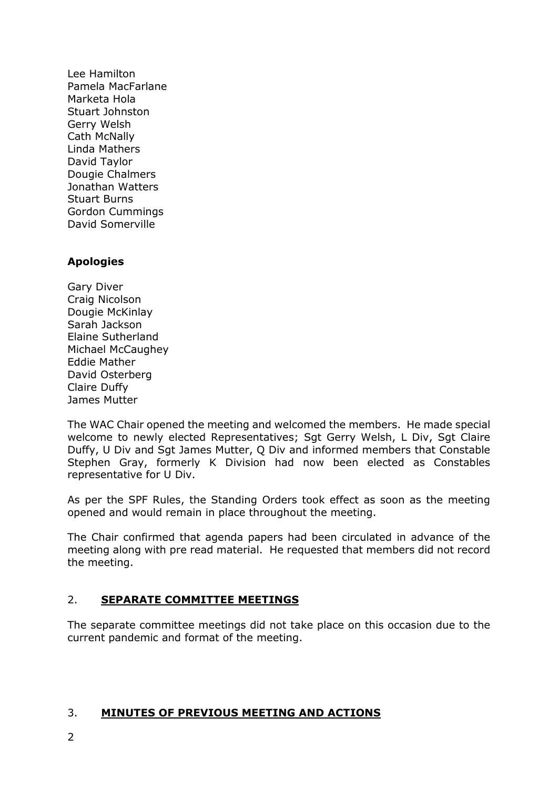Lee Hamilton Pamela MacFarlane Marketa Hola Stuart Johnston Gerry Welsh Cath McNally Linda Mathers David Taylor Dougie Chalmers Jonathan Watters Stuart Burns Gordon Cummings David Somerville

# **Apologies**

Gary Diver Craig Nicolson Dougie McKinlay Sarah Jackson Elaine Sutherland Michael McCaughey Eddie Mather David Osterberg Claire Duffy James Mutter

The WAC Chair opened the meeting and welcomed the members. He made special welcome to newly elected Representatives; Sgt Gerry Welsh, L Div, Sgt Claire Duffy, U Div and Sgt James Mutter, Q Div and informed members that Constable Stephen Gray, formerly K Division had now been elected as Constables representative for U Div.

As per the SPF Rules, the Standing Orders took effect as soon as the meeting opened and would remain in place throughout the meeting.

The Chair confirmed that agenda papers had been circulated in advance of the meeting along with pre read material. He requested that members did not record the meeting.

# 2. **SEPARATE COMMITTEE MEETINGS**

The separate committee meetings did not take place on this occasion due to the current pandemic and format of the meeting.

# 3. **MINUTES OF PREVIOUS MEETING AND ACTIONS**

2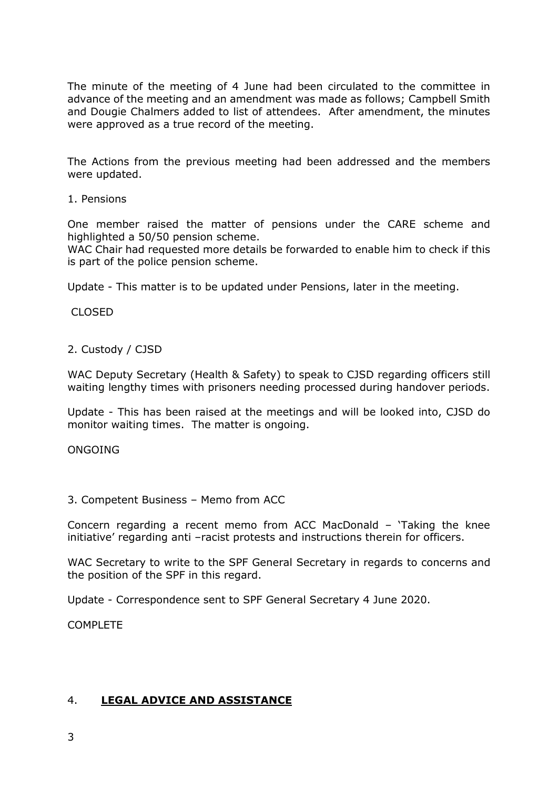The minute of the meeting of 4 June had been circulated to the committee in advance of the meeting and an amendment was made as follows; Campbell Smith and Dougie Chalmers added to list of attendees. After amendment, the minutes were approved as a true record of the meeting.

The Actions from the previous meeting had been addressed and the members were updated.

1. Pensions

One member raised the matter of pensions under the CARE scheme and highlighted a 50/50 pension scheme.

WAC Chair had requested more details be forwarded to enable him to check if this is part of the police pension scheme.

Update - This matter is to be updated under Pensions, later in the meeting.

CLOSED

### 2. Custody / CJSD

WAC Deputy Secretary (Health & Safety) to speak to CJSD regarding officers still waiting lengthy times with prisoners needing processed during handover periods.

Update - This has been raised at the meetings and will be looked into, CJSD do monitor waiting times. The matter is ongoing.

ONGOING

#### 3. Competent Business – Memo from ACC

Concern regarding a recent memo from ACC MacDonald – 'Taking the knee initiative' regarding anti –racist protests and instructions therein for officers.

WAC Secretary to write to the SPF General Secretary in regards to concerns and the position of the SPF in this regard.

Update - Correspondence sent to SPF General Secretary 4 June 2020.

COMPLETE

# 4. **LEGAL ADVICE AND ASSISTANCE**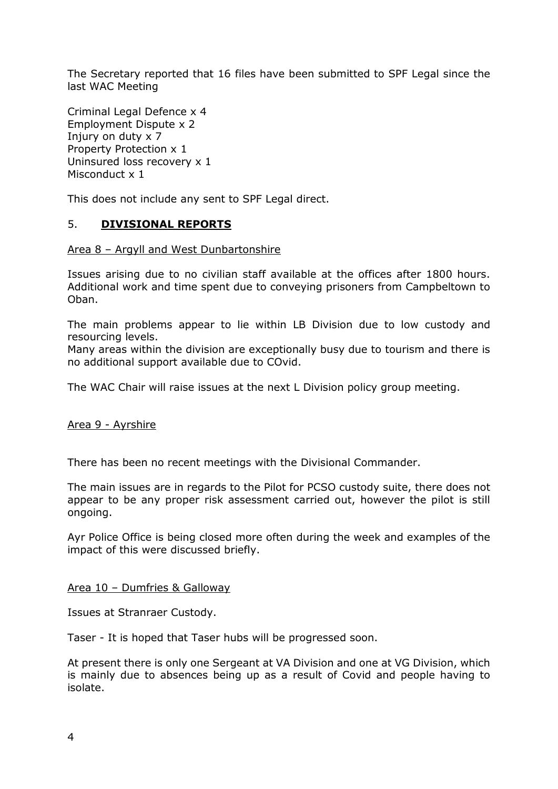The Secretary reported that 16 files have been submitted to SPF Legal since the last WAC Meeting

Criminal Legal Defence x 4 Employment Dispute x 2 Injury on duty x 7 Property Protection x 1 Uninsured loss recovery x 1 Misconduct x 1

This does not include any sent to SPF Legal direct.

### 5. **DIVISIONAL REPORTS**

#### Area 8 – Argyll and West Dunbartonshire

Issues arising due to no civilian staff available at the offices after 1800 hours. Additional work and time spent due to conveying prisoners from Campbeltown to Oban.

The main problems appear to lie within LB Division due to low custody and resourcing levels.

Many areas within the division are exceptionally busy due to tourism and there is no additional support available due to COvid.

The WAC Chair will raise issues at the next L Division policy group meeting.

#### Area 9 - Ayrshire

There has been no recent meetings with the Divisional Commander.

The main issues are in regards to the Pilot for PCSO custody suite, there does not appear to be any proper risk assessment carried out, however the pilot is still ongoing.

Ayr Police Office is being closed more often during the week and examples of the impact of this were discussed briefly.

#### Area 10 – Dumfries & Galloway

Issues at Stranraer Custody.

Taser - It is hoped that Taser hubs will be progressed soon.

At present there is only one Sergeant at VA Division and one at VG Division, which is mainly due to absences being up as a result of Covid and people having to isolate.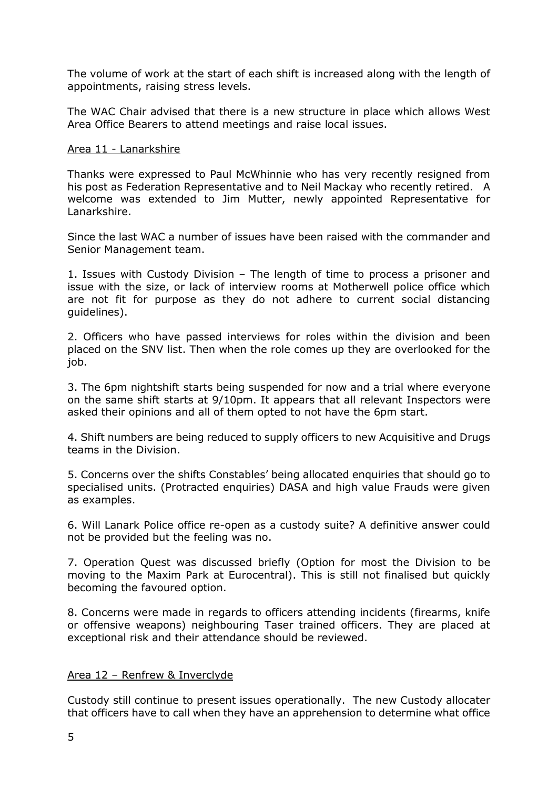The volume of work at the start of each shift is increased along with the length of appointments, raising stress levels.

The WAC Chair advised that there is a new structure in place which allows West Area Office Bearers to attend meetings and raise local issues.

### Area 11 - Lanarkshire

Thanks were expressed to Paul McWhinnie who has very recently resigned from his post as Federation Representative and to Neil Mackay who recently retired. A welcome was extended to Jim Mutter, newly appointed Representative for Lanarkshire.

Since the last WAC a number of issues have been raised with the commander and Senior Management team.

1. Issues with Custody Division – The length of time to process a prisoner and issue with the size, or lack of interview rooms at Motherwell police office which are not fit for purpose as they do not adhere to current social distancing guidelines).

2. Officers who have passed interviews for roles within the division and been placed on the SNV list. Then when the role comes up they are overlooked for the job.

3. The 6pm nightshift starts being suspended for now and a trial where everyone on the same shift starts at 9/10pm. It appears that all relevant Inspectors were asked their opinions and all of them opted to not have the 6pm start.

4. Shift numbers are being reduced to supply officers to new Acquisitive and Drugs teams in the Division.

5. Concerns over the shifts Constables' being allocated enquiries that should go to specialised units. (Protracted enquiries) DASA and high value Frauds were given as examples.

6. Will Lanark Police office re-open as a custody suite? A definitive answer could not be provided but the feeling was no.

7. Operation Quest was discussed briefly (Option for most the Division to be moving to the Maxim Park at Eurocentral). This is still not finalised but quickly becoming the favoured option.

8. Concerns were made in regards to officers attending incidents (firearms, knife or offensive weapons) neighbouring Taser trained officers. They are placed at exceptional risk and their attendance should be reviewed.

# Area 12 – Renfrew & Inverclyde

Custody still continue to present issues operationally. The new Custody allocater that officers have to call when they have an apprehension to determine what office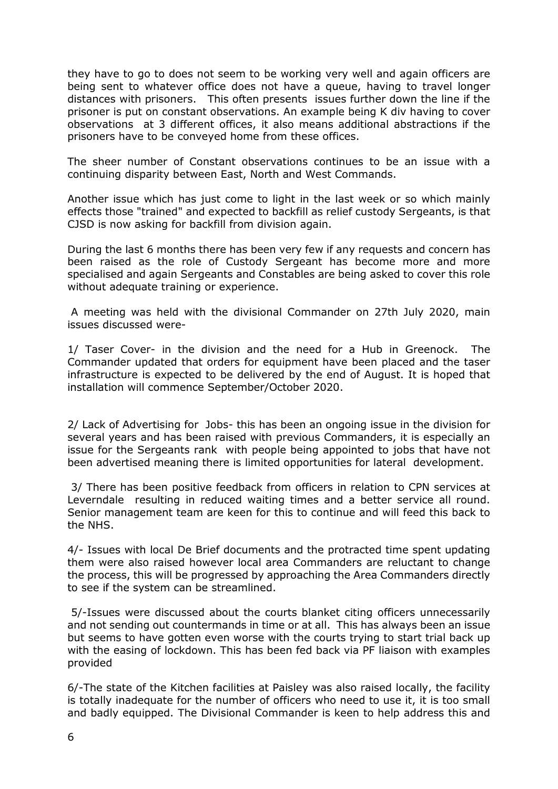they have to go to does not seem to be working very well and again officers are being sent to whatever office does not have a queue, having to travel longer distances with prisoners. This often presents issues further down the line if the prisoner is put on constant observations. An example being K div having to cover observations at 3 different offices, it also means additional abstractions if the prisoners have to be conveyed home from these offices.

The sheer number of Constant observations continues to be an issue with a continuing disparity between East, North and West Commands.

Another issue which has just come to light in the last week or so which mainly effects those "trained" and expected to backfill as relief custody Sergeants, is that CJSD is now asking for backfill from division again.

During the last 6 months there has been very few if any requests and concern has been raised as the role of Custody Sergeant has become more and more specialised and again Sergeants and Constables are being asked to cover this role without adequate training or experience.

 A meeting was held with the divisional Commander on 27th July 2020, main issues discussed were-

1/ Taser Cover- in the division and the need for a Hub in Greenock. The Commander updated that orders for equipment have been placed and the taser infrastructure is expected to be delivered by the end of August. It is hoped that installation will commence September/October 2020.

2/ Lack of Advertising for Jobs- this has been an ongoing issue in the division for several years and has been raised with previous Commanders, it is especially an issue for the Sergeants rank with people being appointed to jobs that have not been advertised meaning there is limited opportunities for lateral development.

 3/ There has been positive feedback from officers in relation to CPN services at Leverndale resulting in reduced waiting times and a better service all round. Senior management team are keen for this to continue and will feed this back to the NHS.

4/- Issues with local De Brief documents and the protracted time spent updating them were also raised however local area Commanders are reluctant to change the process, this will be progressed by approaching the Area Commanders directly to see if the system can be streamlined.

 5/-Issues were discussed about the courts blanket citing officers unnecessarily and not sending out countermands in time or at all. This has always been an issue but seems to have gotten even worse with the courts trying to start trial back up with the easing of lockdown. This has been fed back via PF liaison with examples provided

6/-The state of the Kitchen facilities at Paisley was also raised locally, the facility is totally inadequate for the number of officers who need to use it, it is too small and badly equipped. The Divisional Commander is keen to help address this and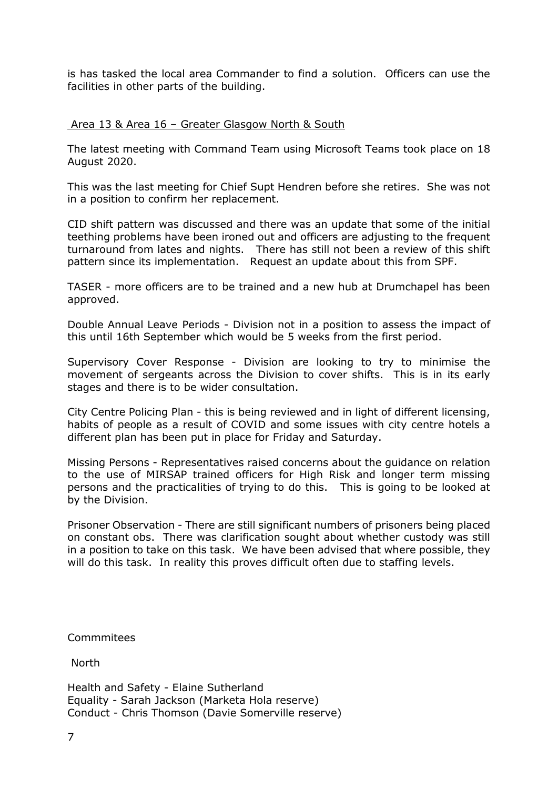is has tasked the local area Commander to find a solution. Officers can use the facilities in other parts of the building.

#### Area 13 & Area 16 – Greater Glasgow North & South

The latest meeting with Command Team using Microsoft Teams took place on 18 August 2020.

This was the last meeting for Chief Supt Hendren before she retires. She was not in a position to confirm her replacement.

CID shift pattern was discussed and there was an update that some of the initial teething problems have been ironed out and officers are adjusting to the frequent turnaround from lates and nights. There has still not been a review of this shift pattern since its implementation. Request an update about this from SPF.

TASER - more officers are to be trained and a new hub at Drumchapel has been approved.

Double Annual Leave Periods - Division not in a position to assess the impact of this until 16th September which would be 5 weeks from the first period.

Supervisory Cover Response - Division are looking to try to minimise the movement of sergeants across the Division to cover shifts. This is in its early stages and there is to be wider consultation.

City Centre Policing Plan - this is being reviewed and in light of different licensing, habits of people as a result of COVID and some issues with city centre hotels a different plan has been put in place for Friday and Saturday.

Missing Persons - Representatives raised concerns about the guidance on relation to the use of MIRSAP trained officers for High Risk and longer term missing persons and the practicalities of trying to do this. This is going to be looked at by the Division.

Prisoner Observation - There are still significant numbers of prisoners being placed on constant obs. There was clarification sought about whether custody was still in a position to take on this task. We have been advised that where possible, they will do this task. In reality this proves difficult often due to staffing levels.

Commmitees

North

Health and Safety - Elaine Sutherland Equality - Sarah Jackson (Marketa Hola reserve) Conduct - Chris Thomson (Davie Somerville reserve)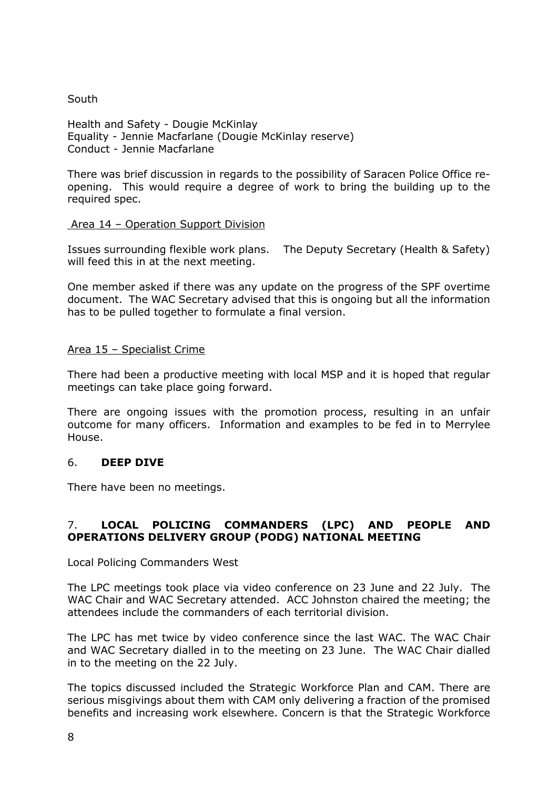# South

Health and Safety - Dougie McKinlay Equality - Jennie Macfarlane (Dougie McKinlay reserve) Conduct - Jennie Macfarlane

There was brief discussion in regards to the possibility of Saracen Police Office reopening. This would require a degree of work to bring the building up to the required spec.

### Area 14 – Operation Support Division

Issues surrounding flexible work plans. The Deputy Secretary (Health & Safety) will feed this in at the next meeting.

One member asked if there was any update on the progress of the SPF overtime document. The WAC Secretary advised that this is ongoing but all the information has to be pulled together to formulate a final version.

# Area 15 – Specialist Crime

There had been a productive meeting with local MSP and it is hoped that regular meetings can take place going forward.

There are ongoing issues with the promotion process, resulting in an unfair outcome for many officers. Information and examples to be fed in to Merrylee House.

# 6. **DEEP DIVE**

There have been no meetings.

# 7. **LOCAL POLICING COMMANDERS (LPC) AND PEOPLE AND OPERATIONS DELIVERY GROUP (PODG) NATIONAL MEETING**

Local Policing Commanders West

The LPC meetings took place via video conference on 23 June and 22 July. The WAC Chair and WAC Secretary attended. ACC Johnston chaired the meeting; the attendees include the commanders of each territorial division.

The LPC has met twice by video conference since the last WAC. The WAC Chair and WAC Secretary dialled in to the meeting on 23 June. The WAC Chair dialled in to the meeting on the 22 July.

The topics discussed included the Strategic Workforce Plan and CAM. There are serious misgivings about them with CAM only delivering a fraction of the promised benefits and increasing work elsewhere. Concern is that the Strategic Workforce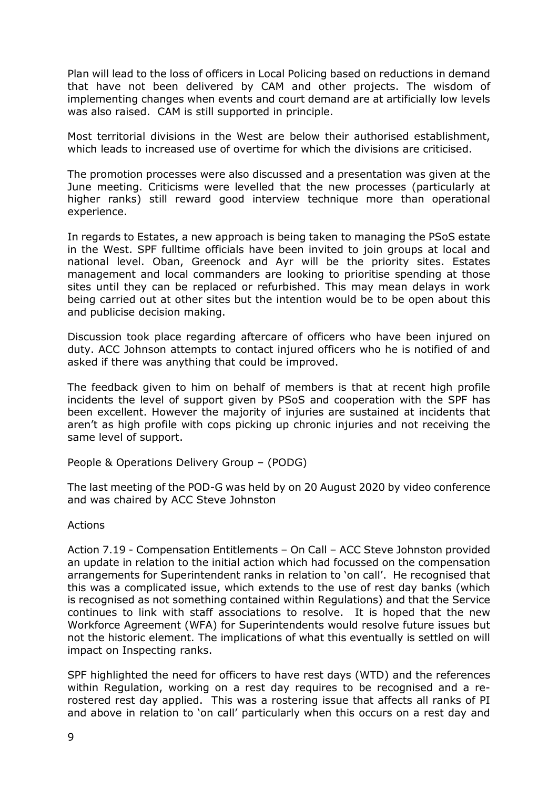Plan will lead to the loss of officers in Local Policing based on reductions in demand that have not been delivered by CAM and other projects. The wisdom of implementing changes when events and court demand are at artificially low levels was also raised. CAM is still supported in principle.

Most territorial divisions in the West are below their authorised establishment, which leads to increased use of overtime for which the divisions are criticised.

The promotion processes were also discussed and a presentation was given at the June meeting. Criticisms were levelled that the new processes (particularly at higher ranks) still reward good interview technique more than operational experience.

In regards to Estates, a new approach is being taken to managing the PSoS estate in the West. SPF fulltime officials have been invited to join groups at local and national level. Oban, Greenock and Ayr will be the priority sites. Estates management and local commanders are looking to prioritise spending at those sites until they can be replaced or refurbished. This may mean delays in work being carried out at other sites but the intention would be to be open about this and publicise decision making.

Discussion took place regarding aftercare of officers who have been injured on duty. ACC Johnson attempts to contact injured officers who he is notified of and asked if there was anything that could be improved.

The feedback given to him on behalf of members is that at recent high profile incidents the level of support given by PSoS and cooperation with the SPF has been excellent. However the majority of injuries are sustained at incidents that aren't as high profile with cops picking up chronic injuries and not receiving the same level of support.

People & Operations Delivery Group – (PODG)

The last meeting of the POD-G was held by on 20 August 2020 by video conference and was chaired by ACC Steve Johnston

# Actions

Action 7.19 - Compensation Entitlements – On Call – ACC Steve Johnston provided an update in relation to the initial action which had focussed on the compensation arrangements for Superintendent ranks in relation to 'on call'. He recognised that this was a complicated issue, which extends to the use of rest day banks (which is recognised as not something contained within Regulations) and that the Service continues to link with staff associations to resolve. It is hoped that the new Workforce Agreement (WFA) for Superintendents would resolve future issues but not the historic element. The implications of what this eventually is settled on will impact on Inspecting ranks.

SPF highlighted the need for officers to have rest days (WTD) and the references within Regulation, working on a rest day requires to be recognised and a rerostered rest day applied. This was a rostering issue that affects all ranks of PI and above in relation to 'on call' particularly when this occurs on a rest day and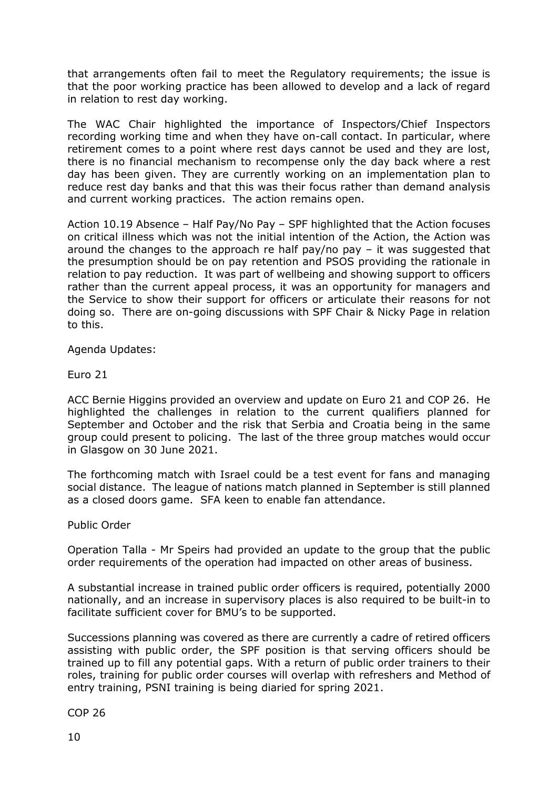that arrangements often fail to meet the Regulatory requirements; the issue is that the poor working practice has been allowed to develop and a lack of regard in relation to rest day working.

The WAC Chair highlighted the importance of Inspectors/Chief Inspectors recording working time and when they have on-call contact. In particular, where retirement comes to a point where rest days cannot be used and they are lost, there is no financial mechanism to recompense only the day back where a rest day has been given. They are currently working on an implementation plan to reduce rest day banks and that this was their focus rather than demand analysis and current working practices. The action remains open.

Action 10.19 Absence – Half Pay/No Pay – SPF highlighted that the Action focuses on critical illness which was not the initial intention of the Action, the Action was around the changes to the approach re half pay/no pay – it was suggested that the presumption should be on pay retention and PSOS providing the rationale in relation to pay reduction. It was part of wellbeing and showing support to officers rather than the current appeal process, it was an opportunity for managers and the Service to show their support for officers or articulate their reasons for not doing so. There are on-going discussions with SPF Chair & Nicky Page in relation to this.

Agenda Updates:

Euro 21

ACC Bernie Higgins provided an overview and update on Euro 21 and COP 26. He highlighted the challenges in relation to the current qualifiers planned for September and October and the risk that Serbia and Croatia being in the same group could present to policing. The last of the three group matches would occur in Glasgow on 30 June 2021.

The forthcoming match with Israel could be a test event for fans and managing social distance. The league of nations match planned in September is still planned as a closed doors game. SFA keen to enable fan attendance.

Public Order

Operation Talla - Mr Speirs had provided an update to the group that the public order requirements of the operation had impacted on other areas of business.

A substantial increase in trained public order officers is required, potentially 2000 nationally, and an increase in supervisory places is also required to be built-in to facilitate sufficient cover for BMU's to be supported.

Successions planning was covered as there are currently a cadre of retired officers assisting with public order, the SPF position is that serving officers should be trained up to fill any potential gaps. With a return of public order trainers to their roles, training for public order courses will overlap with refreshers and Method of entry training, PSNI training is being diaried for spring 2021.

COP 26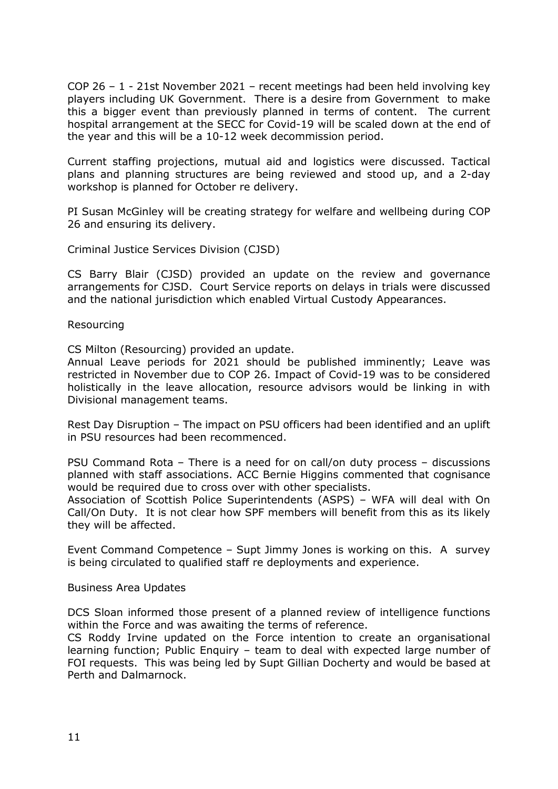COP 26 – 1 - 21st November 2021 – recent meetings had been held involving key players including UK Government. There is a desire from Government to make this a bigger event than previously planned in terms of content. The current hospital arrangement at the SECC for Covid-19 will be scaled down at the end of the year and this will be a 10-12 week decommission period.

Current staffing projections, mutual aid and logistics were discussed. Tactical plans and planning structures are being reviewed and stood up, and a 2-day workshop is planned for October re delivery.

PI Susan McGinley will be creating strategy for welfare and wellbeing during COP 26 and ensuring its delivery.

Criminal Justice Services Division (CJSD)

CS Barry Blair (CJSD) provided an update on the review and governance arrangements for CJSD. Court Service reports on delays in trials were discussed and the national jurisdiction which enabled Virtual Custody Appearances.

Resourcing

CS Milton (Resourcing) provided an update.

Annual Leave periods for 2021 should be published imminently; Leave was restricted in November due to COP 26. Impact of Covid-19 was to be considered holistically in the leave allocation, resource advisors would be linking in with Divisional management teams.

Rest Day Disruption – The impact on PSU officers had been identified and an uplift in PSU resources had been recommenced.

PSU Command Rota – There is a need for on call/on duty process – discussions planned with staff associations. ACC Bernie Higgins commented that cognisance would be required due to cross over with other specialists.

Association of Scottish Police Superintendents (ASPS) – WFA will deal with On Call/On Duty. It is not clear how SPF members will benefit from this as its likely they will be affected.

Event Command Competence – Supt Jimmy Jones is working on this. A survey is being circulated to qualified staff re deployments and experience.

Business Area Updates

DCS Sloan informed those present of a planned review of intelligence functions within the Force and was awaiting the terms of reference.

CS Roddy Irvine updated on the Force intention to create an organisational learning function; Public Enquiry – team to deal with expected large number of FOI requests. This was being led by Supt Gillian Docherty and would be based at Perth and Dalmarnock.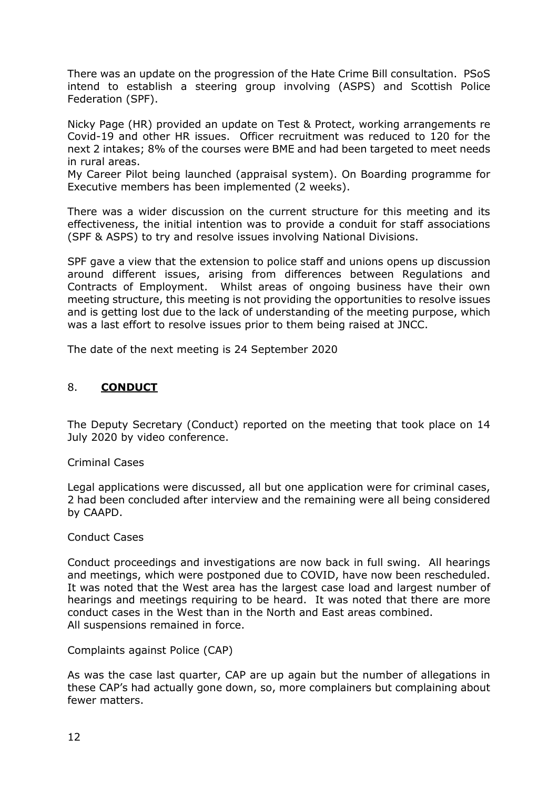There was an update on the progression of the Hate Crime Bill consultation. PSoS intend to establish a steering group involving (ASPS) and Scottish Police Federation (SPF).

Nicky Page (HR) provided an update on Test & Protect, working arrangements re Covid-19 and other HR issues. Officer recruitment was reduced to 120 for the next 2 intakes; 8% of the courses were BME and had been targeted to meet needs in rural areas.

My Career Pilot being launched (appraisal system). On Boarding programme for Executive members has been implemented (2 weeks).

There was a wider discussion on the current structure for this meeting and its effectiveness, the initial intention was to provide a conduit for staff associations (SPF & ASPS) to try and resolve issues involving National Divisions.

SPF gave a view that the extension to police staff and unions opens up discussion around different issues, arising from differences between Regulations and Contracts of Employment. Whilst areas of ongoing business have their own meeting structure, this meeting is not providing the opportunities to resolve issues and is getting lost due to the lack of understanding of the meeting purpose, which was a last effort to resolve issues prior to them being raised at JNCC.

The date of the next meeting is 24 September 2020

# 8. **CONDUCT**

The Deputy Secretary (Conduct) reported on the meeting that took place on 14 July 2020 by video conference.

Criminal Cases

Legal applications were discussed, all but one application were for criminal cases, 2 had been concluded after interview and the remaining were all being considered by CAAPD.

#### Conduct Cases

Conduct proceedings and investigations are now back in full swing. All hearings and meetings, which were postponed due to COVID, have now been rescheduled. It was noted that the West area has the largest case load and largest number of hearings and meetings requiring to be heard. It was noted that there are more conduct cases in the West than in the North and East areas combined. All suspensions remained in force.

Complaints against Police (CAP)

As was the case last quarter, CAP are up again but the number of allegations in these CAP's had actually gone down, so, more complainers but complaining about fewer matters.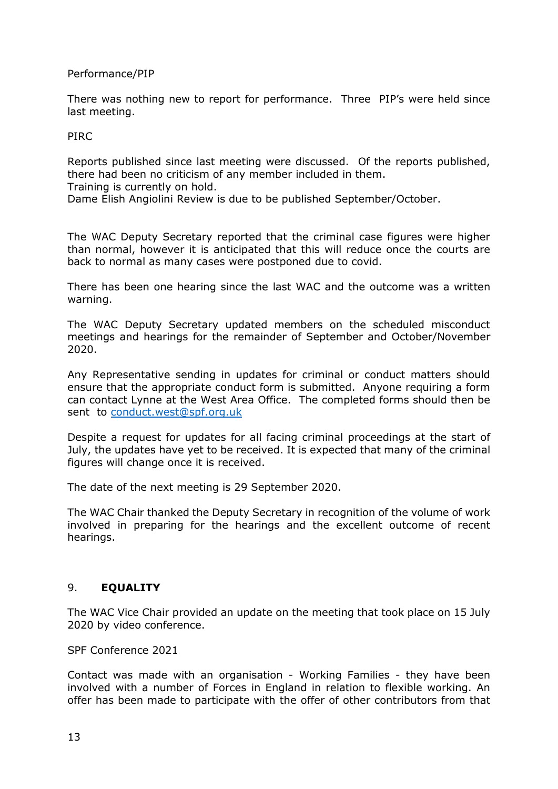# Performance/PIP

There was nothing new to report for performance. Three PIP's were held since last meeting.

#### PIRC

Reports published since last meeting were discussed. Of the reports published, there had been no criticism of any member included in them.

Training is currently on hold.

Dame Elish Angiolini Review is due to be published September/October.

The WAC Deputy Secretary reported that the criminal case figures were higher than normal, however it is anticipated that this will reduce once the courts are back to normal as many cases were postponed due to covid.

There has been one hearing since the last WAC and the outcome was a written warning.

The WAC Deputy Secretary updated members on the scheduled misconduct meetings and hearings for the remainder of September and October/November 2020.

Any Representative sending in updates for criminal or conduct matters should ensure that the appropriate conduct form is submitted. Anyone requiring a form can contact Lynne at the West Area Office. The completed forms should then be sent to [conduct.west@spf.org.uk](mailto:conduct.west@spf.org.uk)

Despite a request for updates for all facing criminal proceedings at the start of July, the updates have yet to be received. It is expected that many of the criminal figures will change once it is received.

The date of the next meeting is 29 September 2020.

The WAC Chair thanked the Deputy Secretary in recognition of the volume of work involved in preparing for the hearings and the excellent outcome of recent hearings.

# 9. **EQUALITY**

The WAC Vice Chair provided an update on the meeting that took place on 15 July 2020 by video conference.

SPF Conference 2021

Contact was made with an organisation - Working Families - they have been involved with a number of Forces in England in relation to flexible working. An offer has been made to participate with the offer of other contributors from that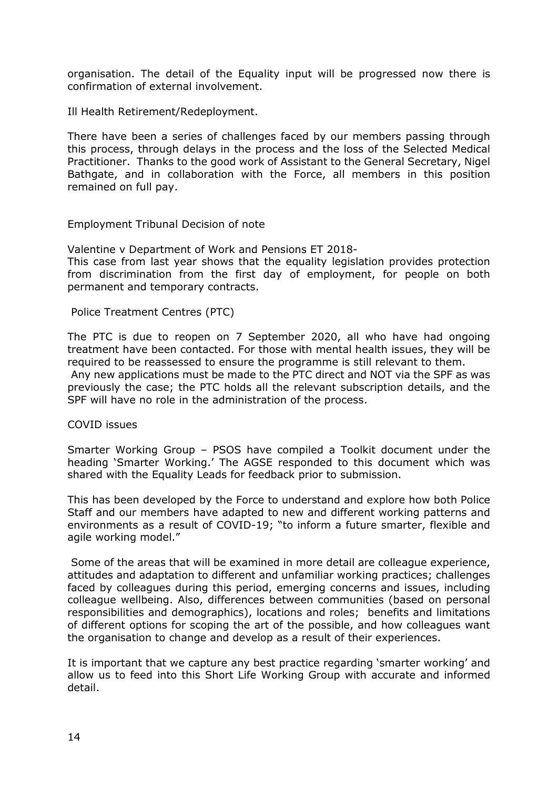organisation. The detail of the Equality input will be progressed now there is confirmation of external involvement.

Ill Health Retirement/Redeployment.

There have been a series of challenges faced by our members passing through this process, through delays in the process and the loss of the Selected Medical Practitioner. Thanks to the good work of Assistant to the General Secretary, Nigel Bathgate, and in collaboration with the Force, all members in this position remained on full pay.

Employment Tribunal Decision of note

Valentine v Department of Work and Pensions ET 2018-

This case from last year shows that the equality legislation provides protection from discrimination from the first day of employment, for people on both permanent and temporary contracts.

Police Treatment Centres (PTC)

The PTC is due to reopen on 7 September 2020, all who have had ongoing treatment have been contacted. For those with mental health issues, they will be required to be reassessed to ensure the programme is still relevant to them. Any new applications must be made to the PTC direct and NOT via the SPF as was previously the case; the PTC holds all the relevant subscription details, and the SPF will have no role in the administration of the process.

COVID issues

Smarter Working Group – PSOS have compiled a Toolkit document under the heading 'Smarter Working.' The AGSE responded to this document which was shared with the Equality Leads for feedback prior to submission.

This has been developed by the Force to understand and explore how both Police Staff and our members have adapted to new and different working patterns and environments as a result of COVID-19; "to inform a future smarter, flexible and agile working model."

 Some of the areas that will be examined in more detail are colleague experience, attitudes and adaptation to different and unfamiliar working practices; challenges faced by colleagues during this period, emerging concerns and issues, including colleague wellbeing. Also, differences between communities (based on personal responsibilities and demographics), locations and roles; benefits and limitations of different options for scoping the art of the possible, and how colleagues want the organisation to change and develop as a result of their experiences.

It is important that we capture any best practice regarding 'smarter working' and allow us to feed into this Short Life Working Group with accurate and informed detail.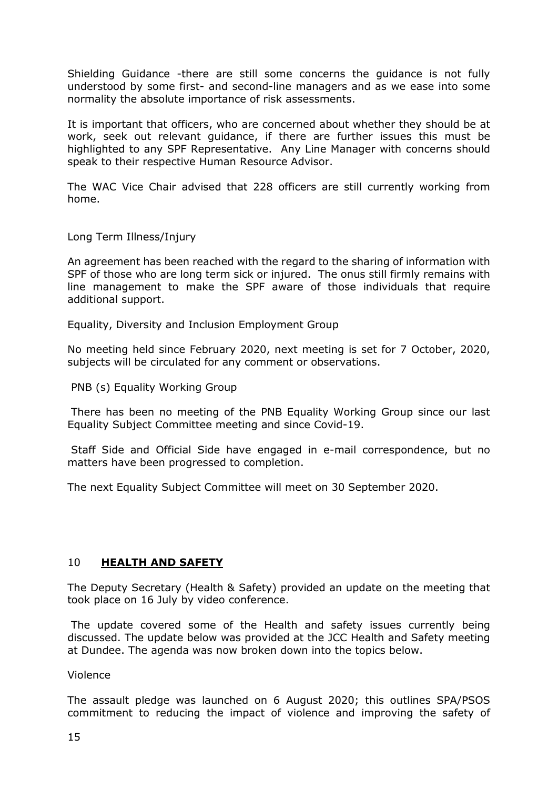Shielding Guidance -there are still some concerns the guidance is not fully understood by some first- and second-line managers and as we ease into some normality the absolute importance of risk assessments.

It is important that officers, who are concerned about whether they should be at work, seek out relevant guidance, if there are further issues this must be highlighted to any SPF Representative. Any Line Manager with concerns should speak to their respective Human Resource Advisor.

The WAC Vice Chair advised that 228 officers are still currently working from home.

Long Term Illness/Injury

An agreement has been reached with the regard to the sharing of information with SPF of those who are long term sick or injured. The onus still firmly remains with line management to make the SPF aware of those individuals that require additional support.

Equality, Diversity and Inclusion Employment Group

No meeting held since February 2020, next meeting is set for 7 October, 2020, subjects will be circulated for any comment or observations.

PNB (s) Equality Working Group

 There has been no meeting of the PNB Equality Working Group since our last Equality Subject Committee meeting and since Covid-19.

 Staff Side and Official Side have engaged in e-mail correspondence, but no matters have been progressed to completion.

The next Equality Subject Committee will meet on 30 September 2020.

#### 10 **HEALTH AND SAFETY**

The Deputy Secretary (Health & Safety) provided an update on the meeting that took place on 16 July by video conference.

 The update covered some of the Health and safety issues currently being discussed. The update below was provided at the JCC Health and Safety meeting at Dundee. The agenda was now broken down into the topics below.

Violence

The assault pledge was launched on 6 August 2020; this outlines SPA/PSOS commitment to reducing the impact of violence and improving the safety of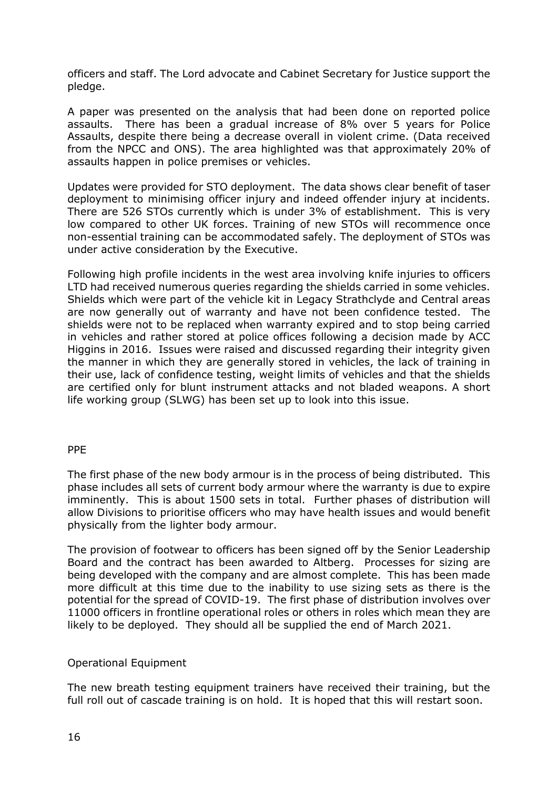officers and staff. The Lord advocate and Cabinet Secretary for Justice support the pledge.

A paper was presented on the analysis that had been done on reported police assaults. There has been a gradual increase of 8% over 5 years for Police Assaults, despite there being a decrease overall in violent crime. (Data received from the NPCC and ONS). The area highlighted was that approximately 20% of assaults happen in police premises or vehicles.

Updates were provided for STO deployment. The data shows clear benefit of taser deployment to minimising officer injury and indeed offender injury at incidents. There are 526 STOs currently which is under 3% of establishment. This is very low compared to other UK forces. Training of new STOs will recommence once non-essential training can be accommodated safely. The deployment of STOs was under active consideration by the Executive.

Following high profile incidents in the west area involving knife injuries to officers LTD had received numerous queries regarding the shields carried in some vehicles. Shields which were part of the vehicle kit in Legacy Strathclyde and Central areas are now generally out of warranty and have not been confidence tested. The shields were not to be replaced when warranty expired and to stop being carried in vehicles and rather stored at police offices following a decision made by ACC Higgins in 2016. Issues were raised and discussed regarding their integrity given the manner in which they are generally stored in vehicles, the lack of training in their use, lack of confidence testing, weight limits of vehicles and that the shields are certified only for blunt instrument attacks and not bladed weapons. A short life working group (SLWG) has been set up to look into this issue.

#### PPE

The first phase of the new body armour is in the process of being distributed. This phase includes all sets of current body armour where the warranty is due to expire imminently. This is about 1500 sets in total. Further phases of distribution will allow Divisions to prioritise officers who may have health issues and would benefit physically from the lighter body armour.

The provision of footwear to officers has been signed off by the Senior Leadership Board and the contract has been awarded to Altberg. Processes for sizing are being developed with the company and are almost complete. This has been made more difficult at this time due to the inability to use sizing sets as there is the potential for the spread of COVID-19. The first phase of distribution involves over 11000 officers in frontline operational roles or others in roles which mean they are likely to be deployed. They should all be supplied the end of March 2021.

# Operational Equipment

The new breath testing equipment trainers have received their training, but the full roll out of cascade training is on hold. It is hoped that this will restart soon.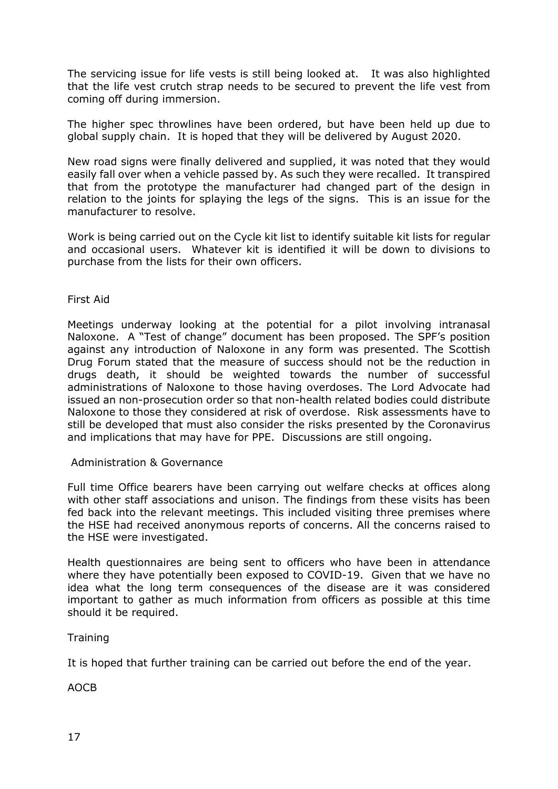The servicing issue for life vests is still being looked at. It was also highlighted that the life vest crutch strap needs to be secured to prevent the life vest from coming off during immersion.

The higher spec throwlines have been ordered, but have been held up due to global supply chain. It is hoped that they will be delivered by August 2020.

New road signs were finally delivered and supplied, it was noted that they would easily fall over when a vehicle passed by. As such they were recalled. It transpired that from the prototype the manufacturer had changed part of the design in relation to the joints for splaying the legs of the signs. This is an issue for the manufacturer to resolve.

Work is being carried out on the Cycle kit list to identify suitable kit lists for regular and occasional users. Whatever kit is identified it will be down to divisions to purchase from the lists for their own officers.

First Aid

Meetings underway looking at the potential for a pilot involving intranasal Naloxone. A "Test of change" document has been proposed. The SPF's position against any introduction of Naloxone in any form was presented. The Scottish Drug Forum stated that the measure of success should not be the reduction in drugs death, it should be weighted towards the number of successful administrations of Naloxone to those having overdoses. The Lord Advocate had issued an non-prosecution order so that non-health related bodies could distribute Naloxone to those they considered at risk of overdose. Risk assessments have to still be developed that must also consider the risks presented by the Coronavirus and implications that may have for PPE. Discussions are still ongoing.

Administration & Governance

Full time Office bearers have been carrying out welfare checks at offices along with other staff associations and unison. The findings from these visits has been fed back into the relevant meetings. This included visiting three premises where the HSE had received anonymous reports of concerns. All the concerns raised to the HSE were investigated.

Health questionnaires are being sent to officers who have been in attendance where they have potentially been exposed to COVID-19. Given that we have no idea what the long term consequences of the disease are it was considered important to gather as much information from officers as possible at this time should it be required.

**Training** 

It is hoped that further training can be carried out before the end of the year.

AOCB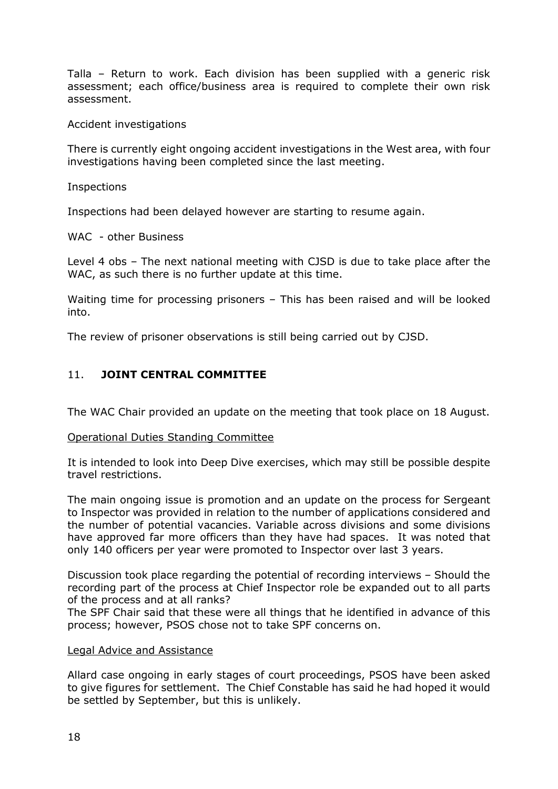Talla – Return to work. Each division has been supplied with a generic risk assessment; each office/business area is required to complete their own risk assessment.

Accident investigations

There is currently eight ongoing accident investigations in the West area, with four investigations having been completed since the last meeting.

Inspections

Inspections had been delayed however are starting to resume again.

WAC - other Business

Level 4 obs – The next national meeting with CJSD is due to take place after the WAC, as such there is no further update at this time.

Waiting time for processing prisoners – This has been raised and will be looked into.

The review of prisoner observations is still being carried out by CJSD.

# 11. **JOINT CENTRAL COMMITTEE**

The WAC Chair provided an update on the meeting that took place on 18 August.

#### Operational Duties Standing Committee

It is intended to look into Deep Dive exercises, which may still be possible despite travel restrictions.

The main ongoing issue is promotion and an update on the process for Sergeant to Inspector was provided in relation to the number of applications considered and the number of potential vacancies. Variable across divisions and some divisions have approved far more officers than they have had spaces. It was noted that only 140 officers per year were promoted to Inspector over last 3 years.

Discussion took place regarding the potential of recording interviews – Should the recording part of the process at Chief Inspector role be expanded out to all parts of the process and at all ranks?

The SPF Chair said that these were all things that he identified in advance of this process; however, PSOS chose not to take SPF concerns on.

#### Legal Advice and Assistance

Allard case ongoing in early stages of court proceedings, PSOS have been asked to give figures for settlement. The Chief Constable has said he had hoped it would be settled by September, but this is unlikely.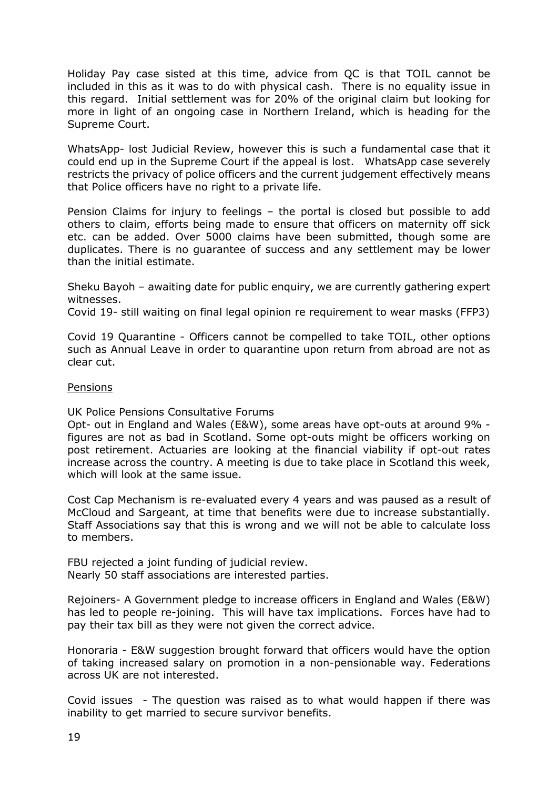Holiday Pay case sisted at this time, advice from QC is that TOIL cannot be included in this as it was to do with physical cash. There is no equality issue in this regard. Initial settlement was for 20% of the original claim but looking for more in light of an ongoing case in Northern Ireland, which is heading for the Supreme Court.

WhatsApp- lost Judicial Review, however this is such a fundamental case that it could end up in the Supreme Court if the appeal is lost. WhatsApp case severely restricts the privacy of police officers and the current judgement effectively means that Police officers have no right to a private life.

Pension Claims for injury to feelings – the portal is closed but possible to add others to claim, efforts being made to ensure that officers on maternity off sick etc. can be added. Over 5000 claims have been submitted, though some are duplicates. There is no guarantee of success and any settlement may be lower than the initial estimate.

Sheku Bayoh – awaiting date for public enquiry, we are currently gathering expert witnesses.

Covid 19- still waiting on final legal opinion re requirement to wear masks (FFP3)

Covid 19 Quarantine - Officers cannot be compelled to take TOIL, other options such as Annual Leave in order to quarantine upon return from abroad are not as clear cut.

#### Pensions

UK Police Pensions Consultative Forums

Opt- out in England and Wales (E&W), some areas have opt-outs at around 9% figures are not as bad in Scotland. Some opt-outs might be officers working on post retirement. Actuaries are looking at the financial viability if opt-out rates increase across the country. A meeting is due to take place in Scotland this week, which will look at the same issue.

Cost Cap Mechanism is re-evaluated every 4 years and was paused as a result of McCloud and Sargeant, at time that benefits were due to increase substantially. Staff Associations say that this is wrong and we will not be able to calculate loss to members.

FBU rejected a joint funding of judicial review. Nearly 50 staff associations are interested parties.

Rejoiners- A Government pledge to increase officers in England and Wales (E&W) has led to people re-joining. This will have tax implications. Forces have had to pay their tax bill as they were not given the correct advice.

Honoraria - E&W suggestion brought forward that officers would have the option of taking increased salary on promotion in a non-pensionable way. Federations across UK are not interested.

Covid issues - The question was raised as to what would happen if there was inability to get married to secure survivor benefits.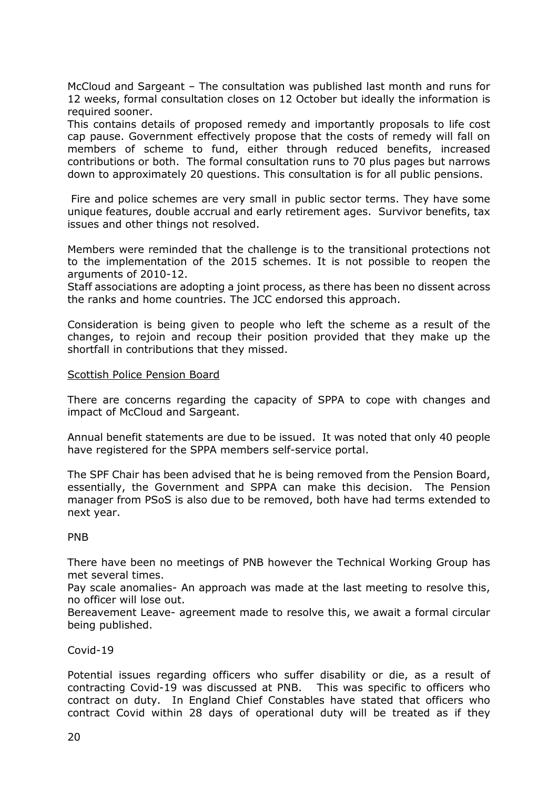McCloud and Sargeant – The consultation was published last month and runs for 12 weeks, formal consultation closes on 12 October but ideally the information is required sooner.

This contains details of proposed remedy and importantly proposals to life cost cap pause. Government effectively propose that the costs of remedy will fall on members of scheme to fund, either through reduced benefits, increased contributions or both. The formal consultation runs to 70 plus pages but narrows down to approximately 20 questions. This consultation is for all public pensions.

 Fire and police schemes are very small in public sector terms. They have some unique features, double accrual and early retirement ages. Survivor benefits, tax issues and other things not resolved.

Members were reminded that the challenge is to the transitional protections not to the implementation of the 2015 schemes. It is not possible to reopen the arguments of 2010-12.

Staff associations are adopting a joint process, as there has been no dissent across the ranks and home countries. The JCC endorsed this approach.

Consideration is being given to people who left the scheme as a result of the changes, to rejoin and recoup their position provided that they make up the shortfall in contributions that they missed.

#### Scottish Police Pension Board

There are concerns regarding the capacity of SPPA to cope with changes and impact of McCloud and Sargeant.

Annual benefit statements are due to be issued. It was noted that only 40 people have registered for the SPPA members self-service portal.

The SPF Chair has been advised that he is being removed from the Pension Board, essentially, the Government and SPPA can make this decision. The Pension manager from PSoS is also due to be removed, both have had terms extended to next year.

#### PNB

There have been no meetings of PNB however the Technical Working Group has met several times.

Pay scale anomalies- An approach was made at the last meeting to resolve this, no officer will lose out.

Bereavement Leave- agreement made to resolve this, we await a formal circular being published.

# Covid-19

Potential issues regarding officers who suffer disability or die, as a result of contracting Covid-19 was discussed at PNB. This was specific to officers who contract on duty. In England Chief Constables have stated that officers who contract Covid within 28 days of operational duty will be treated as if they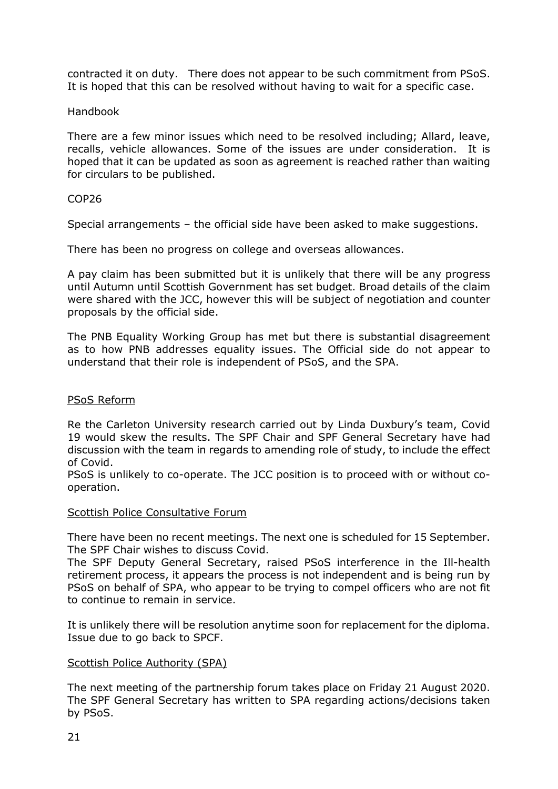contracted it on duty. There does not appear to be such commitment from PSoS. It is hoped that this can be resolved without having to wait for a specific case.

#### Handbook

There are a few minor issues which need to be resolved including; Allard, leave, recalls, vehicle allowances. Some of the issues are under consideration. It is hoped that it can be updated as soon as agreement is reached rather than waiting for circulars to be published.

#### COP26

Special arrangements – the official side have been asked to make suggestions.

There has been no progress on college and overseas allowances.

A pay claim has been submitted but it is unlikely that there will be any progress until Autumn until Scottish Government has set budget. Broad details of the claim were shared with the JCC, however this will be subject of negotiation and counter proposals by the official side.

The PNB Equality Working Group has met but there is substantial disagreement as to how PNB addresses equality issues. The Official side do not appear to understand that their role is independent of PSoS, and the SPA.

#### PSoS Reform

Re the Carleton University research carried out by Linda Duxbury's team, Covid 19 would skew the results. The SPF Chair and SPF General Secretary have had discussion with the team in regards to amending role of study, to include the effect of Covid.

PSoS is unlikely to co-operate. The JCC position is to proceed with or without cooperation.

#### Scottish Police Consultative Forum

There have been no recent meetings. The next one is scheduled for 15 September. The SPF Chair wishes to discuss Covid.

The SPF Deputy General Secretary, raised PSoS interference in the Ill-health retirement process, it appears the process is not independent and is being run by PSoS on behalf of SPA, who appear to be trying to compel officers who are not fit to continue to remain in service.

It is unlikely there will be resolution anytime soon for replacement for the diploma. Issue due to go back to SPCF.

#### Scottish Police Authority (SPA)

The next meeting of the partnership forum takes place on Friday 21 August 2020. The SPF General Secretary has written to SPA regarding actions/decisions taken by PSoS.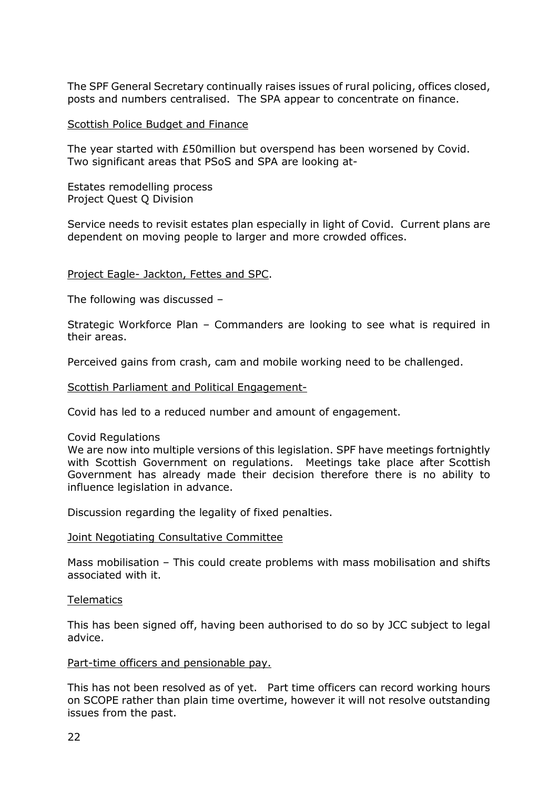The SPF General Secretary continually raises issues of rural policing, offices closed, posts and numbers centralised. The SPA appear to concentrate on finance.

#### Scottish Police Budget and Finance

The year started with £50million but overspend has been worsened by Covid. Two significant areas that PSoS and SPA are looking at-

Estates remodelling process Project Quest Q Division

Service needs to revisit estates plan especially in light of Covid. Current plans are dependent on moving people to larger and more crowded offices.

#### Project Eagle- Jackton, Fettes and SPC.

The following was discussed –

Strategic Workforce Plan – Commanders are looking to see what is required in their areas.

Perceived gains from crash, cam and mobile working need to be challenged.

Scottish Parliament and Political Engagement-

Covid has led to a reduced number and amount of engagement.

#### Covid Regulations

We are now into multiple versions of this legislation. SPF have meetings fortnightly with Scottish Government on regulations. Meetings take place after Scottish Government has already made their decision therefore there is no ability to influence legislation in advance.

Discussion regarding the legality of fixed penalties.

#### Joint Negotiating Consultative Committee

Mass mobilisation – This could create problems with mass mobilisation and shifts associated with it.

#### **Telematics**

This has been signed off, having been authorised to do so by JCC subject to legal advice.

#### Part-time officers and pensionable pay.

This has not been resolved as of yet. Part time officers can record working hours on SCOPE rather than plain time overtime, however it will not resolve outstanding issues from the past.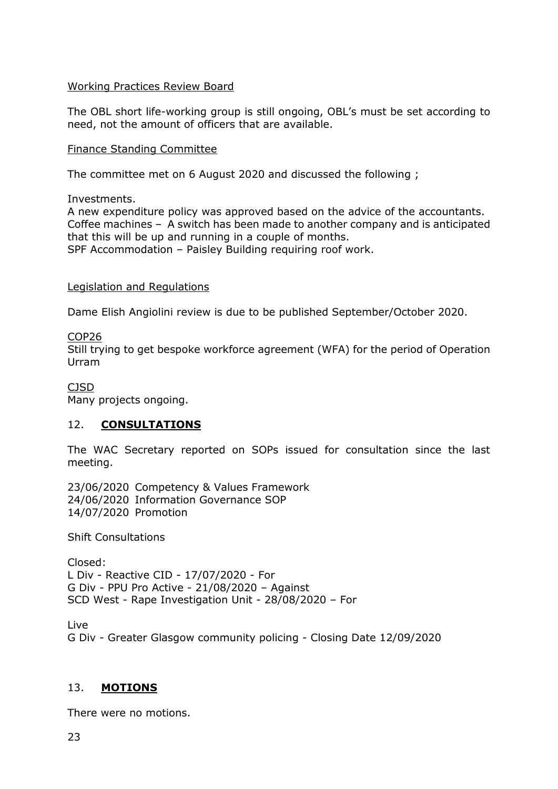# Working Practices Review Board

The OBL short life-working group is still ongoing, OBL's must be set according to need, not the amount of officers that are available.

#### Finance Standing Committee

The committee met on 6 August 2020 and discussed the following ;

Investments.

A new expenditure policy was approved based on the advice of the accountants. Coffee machines – A switch has been made to another company and is anticipated that this will be up and running in a couple of months. SPF Accommodation – Paisley Building requiring roof work.

### Legislation and Regulations

Dame Elish Angiolini review is due to be published September/October 2020.

#### COP26

Still trying to get bespoke workforce agreement (WFA) for the period of Operation Urram

CJSD

Many projects ongoing.

# 12. **CONSULTATIONS**

The WAC Secretary reported on SOPs issued for consultation since the last meeting.

23/06/2020 Competency & Values Framework 24/06/2020 Information Governance SOP 14/07/2020 Promotion

Shift Consultations

Closed: L Div - Reactive CID - 17/07/2020 - For G Div - PPU Pro Active - 21/08/2020 – Against SCD West - Rape Investigation Unit - 28/08/2020 – For

Live

G Div - Greater Glasgow community policing - Closing Date 12/09/2020

# 13. **MOTIONS**

There were no motions.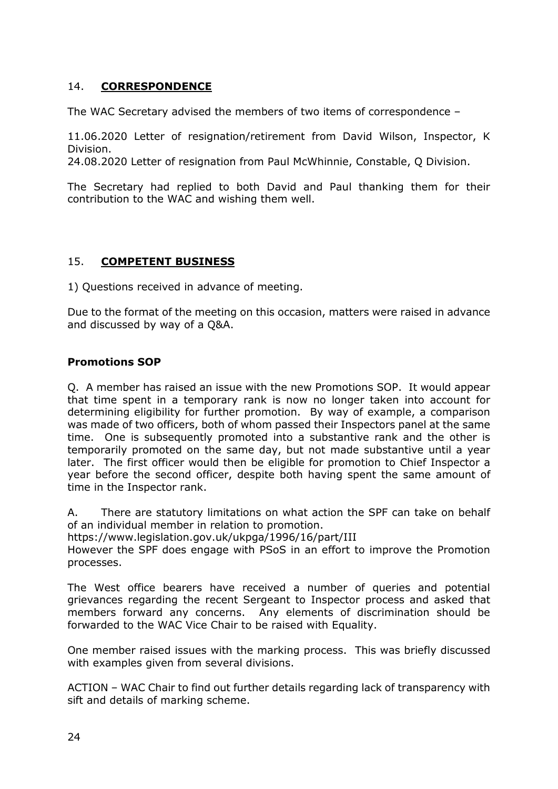# 14. **CORRESPONDENCE**

The WAC Secretary advised the members of two items of correspondence –

11.06.2020 Letter of resignation/retirement from David Wilson, Inspector, K Division.

24.08.2020 Letter of resignation from Paul McWhinnie, Constable, Q Division.

The Secretary had replied to both David and Paul thanking them for their contribution to the WAC and wishing them well.

# 15. **COMPETENT BUSINESS**

1) Questions received in advance of meeting.

Due to the format of the meeting on this occasion, matters were raised in advance and discussed by way of a Q&A.

# **Promotions SOP**

Q. A member has raised an issue with the new Promotions SOP. It would appear that time spent in a temporary rank is now no longer taken into account for determining eligibility for further promotion. By way of example, a comparison was made of two officers, both of whom passed their Inspectors panel at the same time. One is subsequently promoted into a substantive rank and the other is temporarily promoted on the same day, but not made substantive until a year later. The first officer would then be eligible for promotion to Chief Inspector a year before the second officer, despite both having spent the same amount of time in the Inspector rank.

A. There are statutory limitations on what action the SPF can take on behalf of an individual member in relation to promotion.

https://www.legislation.gov.uk/ukpga/1996/16/part/III

However the SPF does engage with PSoS in an effort to improve the Promotion processes.

The West office bearers have received a number of queries and potential grievances regarding the recent Sergeant to Inspector process and asked that members forward any concerns. Any elements of discrimination should be forwarded to the WAC Vice Chair to be raised with Equality.

One member raised issues with the marking process. This was briefly discussed with examples given from several divisions.

ACTION – WAC Chair to find out further details regarding lack of transparency with sift and details of marking scheme.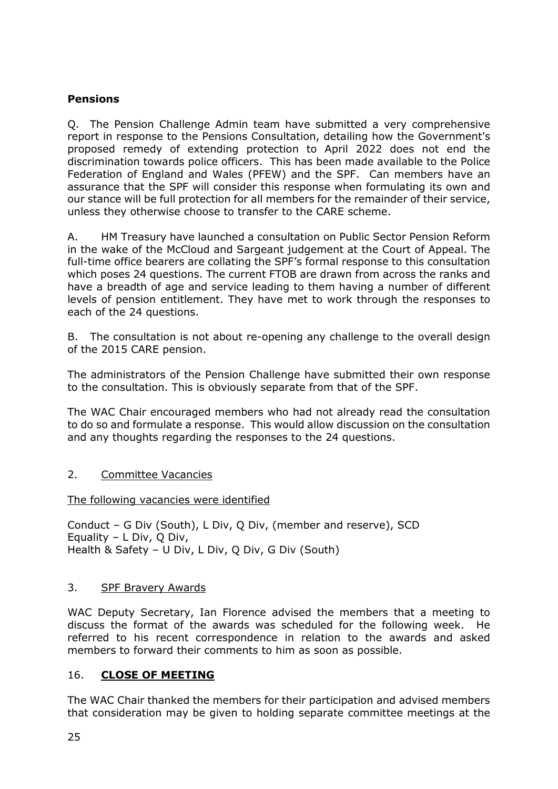# **Pensions**

Q. The Pension Challenge Admin team have submitted a very comprehensive report in response to the Pensions Consultation, detailing how the Government's proposed remedy of extending protection to April 2022 does not end the discrimination towards police officers. This has been made available to the Police Federation of England and Wales (PFEW) and the SPF. Can members have an assurance that the SPF will consider this response when formulating its own and our stance will be full protection for all members for the remainder of their service, unless they otherwise choose to transfer to the CARE scheme.

A. HM Treasury have launched a consultation on Public Sector Pension Reform in the wake of the McCloud and Sargeant judgement at the Court of Appeal. The full-time office bearers are collating the SPF's formal response to this consultation which poses 24 questions. The current FTOB are drawn from across the ranks and have a breadth of age and service leading to them having a number of different levels of pension entitlement. They have met to work through the responses to each of the 24 questions.

B. The consultation is not about re-opening any challenge to the overall design of the 2015 CARE pension.

The administrators of the Pension Challenge have submitted their own response to the consultation. This is obviously separate from that of the SPF.

The WAC Chair encouraged members who had not already read the consultation to do so and formulate a response. This would allow discussion on the consultation and any thoughts regarding the responses to the 24 questions.

# 2. Committee Vacancies

# The following vacancies were identified

Conduct – G Div (South), L Div, Q Div, (member and reserve), SCD Equality – L Div, Q Div, Health & Safety – U Div, L Div, Q Div, G Div (South)

# 3. SPF Bravery Awards

WAC Deputy Secretary, Ian Florence advised the members that a meeting to discuss the format of the awards was scheduled for the following week. He referred to his recent correspondence in relation to the awards and asked members to forward their comments to him as soon as possible.

# 16. **CLOSE OF MEETING**

The WAC Chair thanked the members for their participation and advised members that consideration may be given to holding separate committee meetings at the